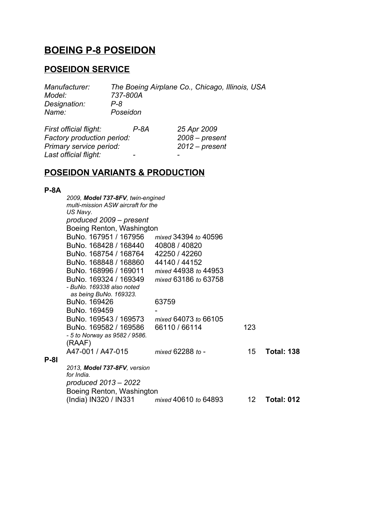# **BOEING P-8 POSEIDON**

## **POSEIDON SERVICE**

*Manufacturer: The Boeing Airplane Co., Chicago, Illinois, USA Model: 737-800A Designation: P-8 Name: Poseidon*

| First official flight:     | P-8A           | 25 Apr 2009              |
|----------------------------|----------------|--------------------------|
| Factory production period: |                | $2008 - present$         |
| Primary service period:    |                | $2012$ – present         |
| Last official flight:      | $\blacksquare$ | $\overline{\phantom{0}}$ |

## **POSEIDON VARIANTS & PRODUCTION**

### **P-8A**

**P-8I**

| 2009, Model 737-8FV, twin-engined<br>multi-mission ASW aircraft for the |                      |     |                   |
|-------------------------------------------------------------------------|----------------------|-----|-------------------|
| US Navy.                                                                |                      |     |                   |
| produced 2009 - present                                                 |                      |     |                   |
| Boeing Renton, Washington                                               |                      |     |                   |
| BuNo. 167951 / 167956                                                   | mixed 34394 to 40596 |     |                   |
| BuNo. 168428 / 168440                                                   | 40808 / 40820        |     |                   |
| BuNo. 168754 / 168764                                                   | 42250 / 42260        |     |                   |
| BuNo. 168848 / 168860                                                   | 44140 / 44152        |     |                   |
| BuNo. 168996 / 169011                                                   | mixed 44938 to 44953 |     |                   |
| BuNo. 169324 / 169349                                                   | mixed 63186 to 63758 |     |                   |
| - BuNo. 169338 also noted<br>as being BuNo. 169323.                     |                      |     |                   |
| BuNo. 169426                                                            | 63759                |     |                   |
| BuNo. 169459                                                            |                      |     |                   |
| BuNo. 169543 / 169573                                                   | mixed 64073 to 66105 |     |                   |
| BuNo. 169582 / 169586                                                   | 66110 / 66114        | 123 |                   |
| - 5 to Norway as 9582 / 9586.                                           |                      |     |                   |
| (RAAF)                                                                  |                      |     |                   |
| A47-001 / A47-015                                                       | mixed 62288 to -     | 15  | <b>Total: 138</b> |
| 2013, <b>Model 737-8FV</b> , version                                    |                      |     |                   |
| for India.                                                              |                      |     |                   |
| produced 2013 - 2022                                                    |                      |     |                   |
| Boeing Renton, Washington                                               |                      |     |                   |
| (India) IN320 / IN331                                                   | mixed 40610 to 64893 | 12. | Total: 012        |